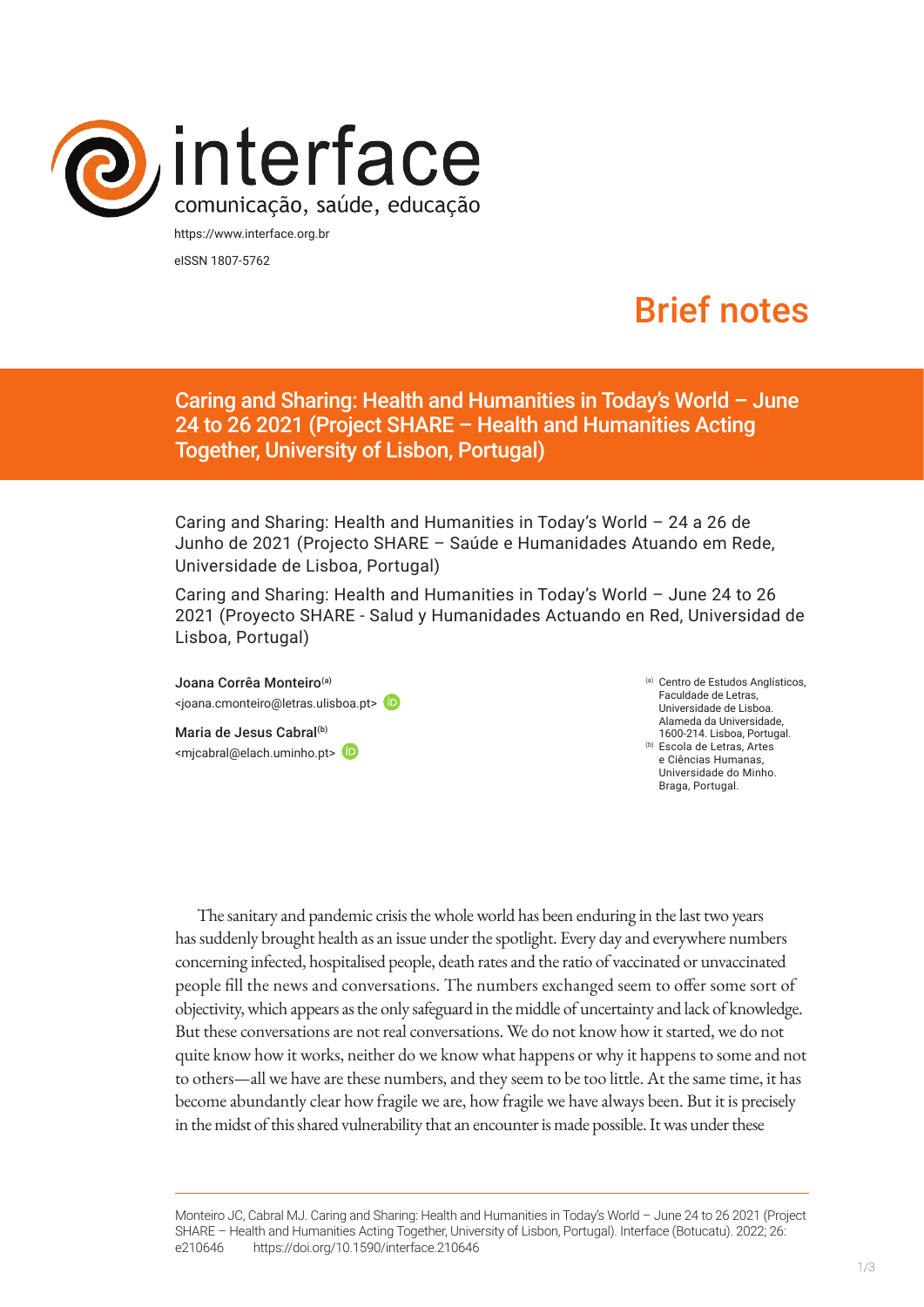

https://www.interface.org.br eISSN 1807-5762

# Brief notes

Caring and Sharing: Health and Humanities in Today's World – June 24 to 26 2021 (Project SHARE – Health and Humanities Acting Together, University of Lisbon, Portugal)

Caring and Sharing: Health and Humanities in Today's World – 24 a 26 de Junho de 2021 (Projecto SHARE – Saúde e Humanidades Atuando em Rede, Universidade de Lisboa, Portugal)

Caring and Sharing: Health and Humanities in Today's World – June 24 to 26 2021 (Proyecto SHARE - Salud y Humanidades Actuando en Red, Universidad de Lisboa, Portugal)

Joana Corrêa Monteiro<sup>(a)</sup> <joana.cmonteiro@letras.ulisboa.pt>

Maria de Jesus Cabral<sup>(b)</sup> <mjcabral@elach.uminho.pt> (a) Centro de Estudos Anglísticos, Faculdade de Letras, Universidade de Lisboa. Alameda da Universidade, 1600-214. Lisboa, Portugal. (b) Escola de Letras, Artes e Ciências Humanas, Universidade do Minho. Braga, Portugal.

The sanitary and pandemic crisis the whole world has been enduring in the last two years has suddenly brought health as an issue under the spotlight. Every day and everywhere numbers concerning infected, hospitalised people, death rates and the ratio of vaccinated or unvaccinated people fill the news and conversations. The numbers exchanged seem to offer some sort of objectivity, which appears as the only safeguard in the middle of uncertainty and lack of knowledge. But these conversations are not real conversations. We do not know how it started, we do not quite know how it works, neither do we know what happens or why it happens to some and not to others—all we have are these numbers, and they seem to be too little. At the same time, it has become abundantly clear how fragile we are, how fragile we have always been. But it is precisely in the midst of this shared vulnerability that an encounter is made possible. It was under these

Monteiro JC, Cabral MJ. Caring and Sharing: Health and Humanities in Today's World – June 24 to 26 2021 (Project SHARE – Health and Humanities Acting Together, University of Lisbon, Portugal). Interface (Botucatu). 2022; 26: e210646 [https://d](https://10.11606/S1518-787.201805200XXXX)oi.org/10.1590/interface.210646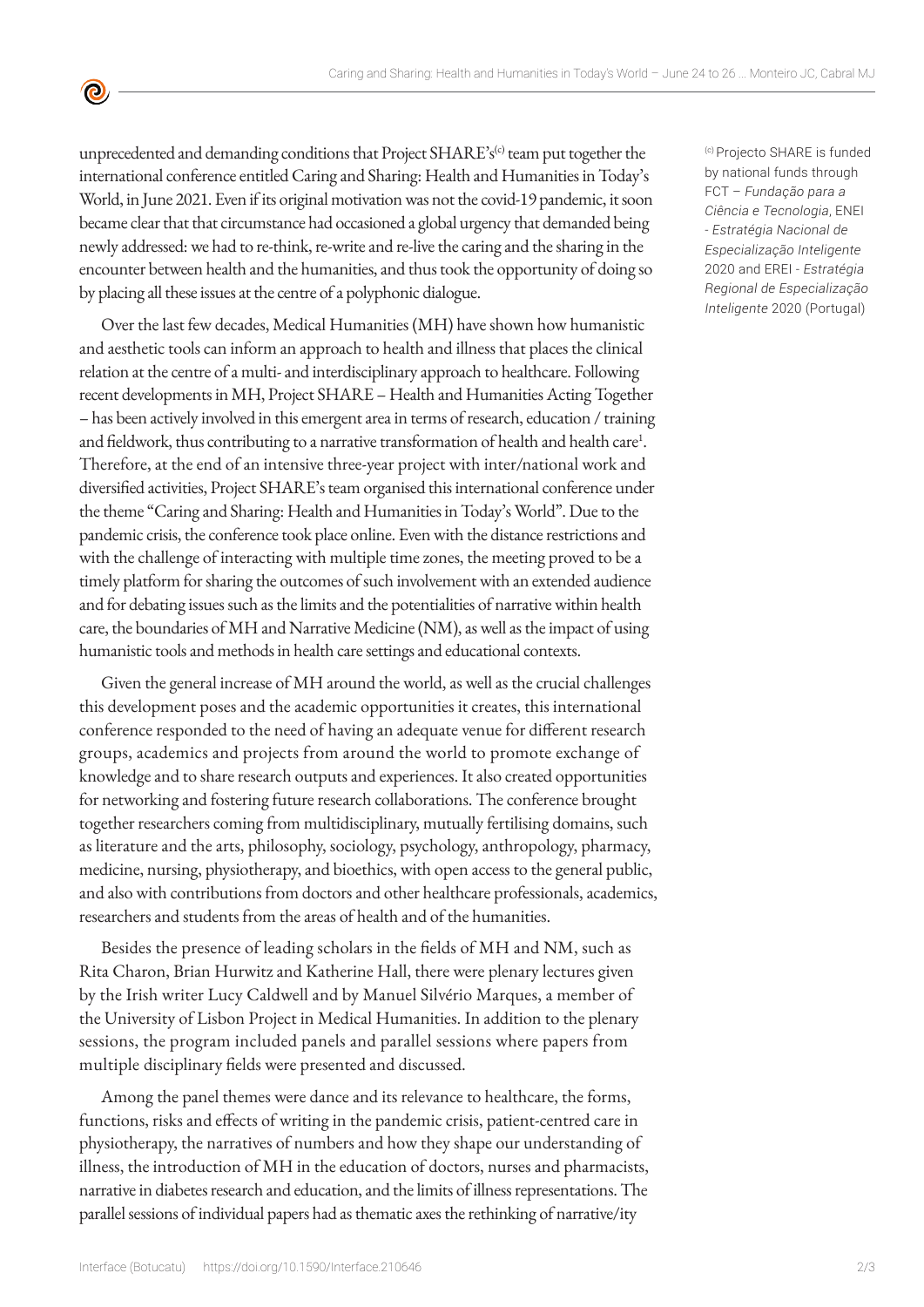unprecedented and demanding conditions that Project SHARE's<sup>(c)</sup> team put together the international conference entitled Caring and Sharing: Health and Humanities in Today's World, in June 2021. Even if its original motivation was not the covid-19 pandemic, it soon became clear that that circumstance had occasioned a global urgency that demanded being newly addressed: we had to re-think, re-write and re-live the caring and the sharing in the encounter between health and the humanities, and thus took the opportunity of doing so by placing all these issues at the centre of a polyphonic dialogue.

 $\bullet$ 

Over the last few decades, Medical Humanities (MH) have shown how humanistic and aesthetic tools can inform an approach to health and illness that places the clinical relation at the centre of a multi- and interdisciplinary approach to healthcare. Following recent developments in MH, Project SHARE – Health and Humanities Acting Together – has been actively involved in this emergent area in terms of research, education / training and fieldwork, thus contributing to a narrative transformation of health and health care<sup>1</sup>. Therefore, at the end of an intensive three-year project with inter/national work and diversified activities, Project SHARE's team organised this international conference under the theme "Caring and Sharing: Health and Humanities in Today's World". Due to the pandemic crisis, the conference took place online. Even with the distance restrictions and with the challenge of interacting with multiple time zones, the meeting proved to be a timely platform for sharing the outcomes of such involvement with an extended audience and for debating issues such as the limits and the potentialities of narrative within health care, the boundaries of MH and Narrative Medicine (NM), as well as the impact of using humanistic tools and methods in health care settings and educational contexts.

Given the general increase of MH around the world, as well as the crucial challenges this development poses and the academic opportunities it creates, this international conference responded to the need of having an adequate venue for different research groups, academics and projects from around the world to promote exchange of knowledge and to share research outputs and experiences. It also created opportunities for networking and fostering future research collaborations. The conference brought together researchers coming from multidisciplinary, mutually fertilising domains, such as literature and the arts, philosophy, sociology, psychology, anthropology, pharmacy, medicine, nursing, physiotherapy, and bioethics, with open access to the general public, and also with contributions from doctors and other healthcare professionals, academics, researchers and students from the areas of health and of the humanities.

Besides the presence of leading scholars in the fields of MH and NM, such as Rita Charon, Brian Hurwitz and Katherine Hall, there were plenary lectures given by the Irish writer Lucy Caldwell and by Manuel Silvério Marques, a member of the University of Lisbon Project in Medical Humanities. In addition to the plenary sessions, the program included panels and parallel sessions where papers from multiple disciplinary fields were presented and discussed.

Among the panel themes were dance and its relevance to healthcare, the forms, functions, risks and effects of writing in the pandemic crisis, patient-centred care in physiotherapy, the narratives of numbers and how they shape our understanding of illness, the introduction of MH in the education of doctors, nurses and pharmacists, narrative in diabetes research and education, and the limits of illness representations. The parallel sessions of individual papers had as thematic axes the rethinking of narrative/ity

(c) Projecto SHARE is funded by national funds through FCT – *Fundação para a Ciência e Tecnologia*, ENEI - *Estratégia Nacional de Especialização Inteligente* 2020 and EREI - *Estratégia Regional de Especialização Inteligente* 2020 (Portugal)